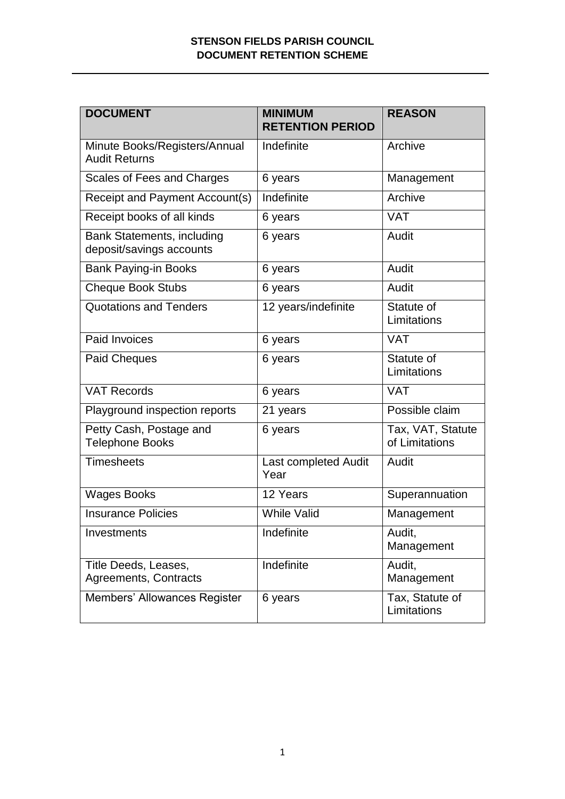## **STENSON FIELDS PARISH COUNCIL DOCUMENT RETENTION SCHEME**

| <b>DOCUMENT</b>                                        | <b>MINIMUM</b><br><b>RETENTION PERIOD</b> | <b>REASON</b>                       |
|--------------------------------------------------------|-------------------------------------------|-------------------------------------|
| Minute Books/Registers/Annual<br><b>Audit Returns</b>  | Indefinite                                | Archive                             |
| Scales of Fees and Charges                             | 6 years                                   | Management                          |
| Receipt and Payment Account(s)                         | Indefinite                                | Archive                             |
| Receipt books of all kinds                             | 6 years                                   | <b>VAT</b>                          |
| Bank Statements, including<br>deposit/savings accounts | 6 years                                   | Audit                               |
| <b>Bank Paying-in Books</b>                            | 6 years                                   | Audit                               |
| <b>Cheque Book Stubs</b>                               | 6 years                                   | Audit                               |
| <b>Quotations and Tenders</b>                          | 12 years/indefinite                       | Statute of<br>Limitations           |
| Paid Invoices                                          | 6 years                                   | <b>VAT</b>                          |
| <b>Paid Cheques</b>                                    | 6 years                                   | Statute of<br>Limitations           |
| <b>VAT Records</b>                                     | 6 years                                   | <b>VAT</b>                          |
| Playground inspection reports                          | 21 years                                  | Possible claim                      |
| Petty Cash, Postage and<br><b>Telephone Books</b>      | 6 years                                   | Tax, VAT, Statute<br>of Limitations |
| <b>Timesheets</b>                                      | Last completed Audit<br>Year              | Audit                               |
| <b>Wages Books</b>                                     | 12 Years                                  | Superannuation                      |
| <b>Insurance Policies</b>                              | <b>While Valid</b>                        | Management                          |
| Investments                                            | Indefinite                                | Audit,<br>Management                |
| Title Deeds, Leases,<br>Agreements, Contracts          | Indefinite                                | Audit,<br>Management                |
| Members' Allowances Register                           | 6 years                                   | Tax, Statute of<br>Limitations      |